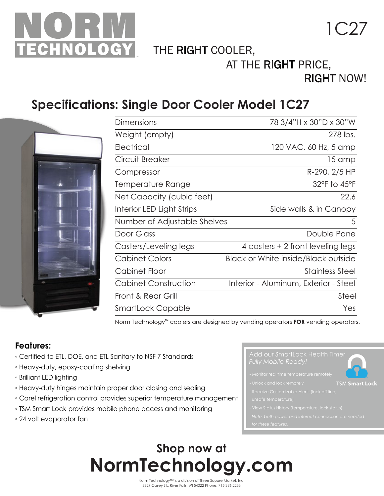# **ECHNOLOGY** THE RIGHT COOLER,

#### AT THE RIGHT PRICE,

#### **RIGHT NOW!**

### **Specifications: Single Door Cooler Model 1C27**



| Dimensions                   | 78 3/4"H x 30"D x 30"W                     |
|------------------------------|--------------------------------------------|
| Weight (empty)               | 278 lbs.                                   |
| Electrical                   | 120 VAC, 60 Hz, 5 amp                      |
| Circuit Breaker              | 15 amp                                     |
| Compressor                   | R-290, 2/5 HP                              |
| Temperature Range            | 32°F to 45°F                               |
| Net Capacity (cubic feet)    | 22.6                                       |
| Interior LED Light Strips    | Side walls & in Canopy                     |
| Number of Adjustable Shelves | 5                                          |
| Door Glass                   | Double Pane                                |
| Casters/Leveling legs        | 4 casters + 2 front leveling legs          |
| <b>Cabinet Colors</b>        | <b>Black or White inside/Black outside</b> |
| Cabinet Floor                | <b>Stainless Steel</b>                     |
| Cabinet Construction         | Interior - Aluminum, Exterior - Steel      |
| Front & Rear Grill           | Steel                                      |
| SmartLock Capable            | Yes                                        |

Norm Technology<sup>™</sup> coolers are designed by vending operators **FOR** vending operators.

#### **Features:**

- Certified to ETL, DOE, and ETL Sanitary to NSF 7 Standards
- Heavy-duty, epoxy-coating shelving
- Brilliant LED lighting
- Heavy-duty hinges maintain proper door closing and sealing
- Carel refrigeration control provides superior temperature management
- TSM Smart Lock provides mobile phone access and monitoring
- 24 volt evaporator fan



- 
- 
- 
- -
- 

**TSM Smart Lock** 

## **Shop now at NormTechnology.com**

#### Norm Technology™ is a division of Three Square Market, Inc. 3329 Casey St., River Falls, WI 54022 Phone: 715.386.2233